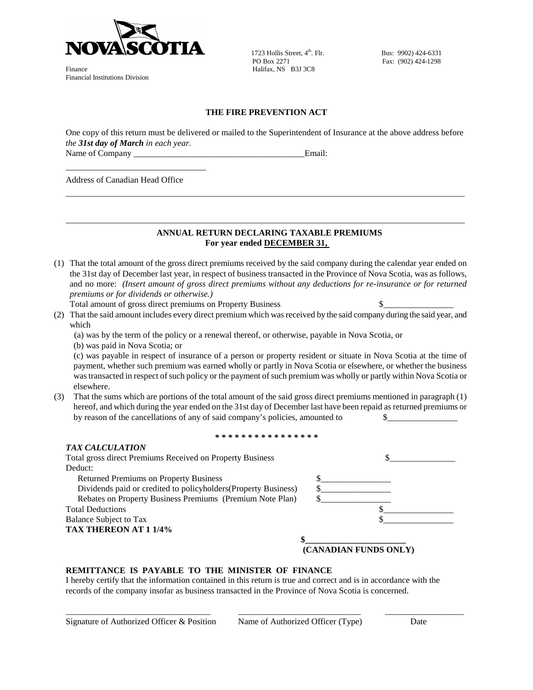

Finance Halifax, NS B3J 3C8 Financial Institutions Division

1723 Hollis Street,  $4^{th}$ . Flr.<br>
Bus: 9902) 424-6331<br>
Fax: (902) 424-1298

Fax: (902) 424-1298

## **THE FIRE PREVENTION ACT**

One copy of this return must be delivered or mailed to the Superintendent of Insurance at the above address before *the 31st day of March in each year.*

\_\_\_\_\_\_\_\_\_\_\_\_\_\_\_\_\_\_\_\_\_\_\_\_\_\_\_\_\_\_\_\_\_\_\_\_\_\_\_\_\_\_\_\_\_\_\_\_\_\_\_\_\_\_\_\_\_\_\_\_\_\_\_\_\_\_\_\_\_\_\_\_\_\_\_\_\_\_\_\_\_\_\_\_\_\_\_\_\_\_\_

\_\_\_\_\_\_\_\_\_\_\_\_\_\_\_\_\_\_\_\_\_\_\_\_\_\_\_\_\_\_\_\_\_\_\_\_\_\_\_\_\_\_\_\_\_\_\_\_\_\_\_\_\_\_\_\_\_\_\_\_\_\_\_\_\_\_\_\_\_\_\_\_\_\_\_\_\_\_\_\_\_\_\_\_\_\_\_\_\_\_\_

Name of Company \_\_\_\_\_\_\_\_\_\_\_\_\_\_\_\_\_\_\_\_\_\_\_\_\_\_\_\_\_\_\_\_\_\_\_\_\_\_\_Email:

Address of Canadian Head Office

\_\_\_\_\_\_\_\_\_\_\_\_\_\_\_\_\_\_\_\_\_\_\_\_\_\_\_\_\_\_\_\_

## **ANNUAL RETURN DECLARING TAXABLE PREMIUMS For year ended DECEMBER 31,**

- (1) That the total amount of the gross direct premiums received by the said company during the calendar year ended on the 31st day of December last year, in respect of business transacted in the Province of Nova Scotia, was as follows, and no more: *(Insert amount of gross direct premiums without any deductions for re-insurance or for returned premiums or for dividends or otherwise.)*
	- Total amount of gross direct premiums on Property Business  $\$
- (2) That the said amount includes every direct premium which was received by the said company during the said year, and which
	- (a) was by the term of the policy or a renewal thereof, or otherwise, payable in Nova Scotia, or
	- (b) was paid in Nova Scotia; or

*TAX CALCULATION*

(c) was payable in respect of insurance of a person or property resident or situate in Nova Scotia at the time of payment, whether such premium was earned wholly or partly in Nova Scotia or elsewhere, or whether the business was transacted in respect of such policy or the payment of such premium was wholly or partly within Nova Scotia or elsewhere.

(3) That the sums which are portions of the total amount of the said gross direct premiums mentioned in paragraph (1) hereof, and which during the year ended on the 31st day of December last have been repaid as returned premiums or by reason of the cancellations of any of said company's policies, amounted to  $\qquad \qquad \$ 

*\* \* \* \* \* \* \* \* \* \* \* \* \* \* \* \**

| TAX CALCULATION                                                 |                       |
|-----------------------------------------------------------------|-----------------------|
| Total gross direct Premiums Received on Property Business       |                       |
| Deduct:                                                         |                       |
| <b>Returned Premiums on Property Business</b>                   |                       |
| Dividends paid or credited to policyholders (Property Business) |                       |
| Rebates on Property Business Premiums (Premium Note Plan)       |                       |
| <b>Total Deductions</b>                                         |                       |
| Balance Subject to Tax                                          |                       |
| TAX THEREON AT 1 1/4%                                           |                       |
|                                                                 |                       |
|                                                                 | (CANADIAN FUNDS ONLY) |
|                                                                 |                       |

## **REMITTANCE IS PAYABLE TO THE MINISTER OF FINANCE**

I hereby certify that the information contained in this return is true and correct and is in accordance with the records of the company insofar as business transacted in the Province of Nova Scotia is concerned.

\_\_\_\_\_\_\_\_\_\_\_\_\_\_\_\_\_\_\_\_\_\_\_\_\_\_\_\_\_\_\_\_\_ \_\_\_\_\_\_\_\_\_\_\_\_\_\_\_\_\_\_\_\_\_\_\_\_\_\_\_\_ \_\_\_\_\_\_\_\_\_\_\_\_\_\_\_\_\_\_